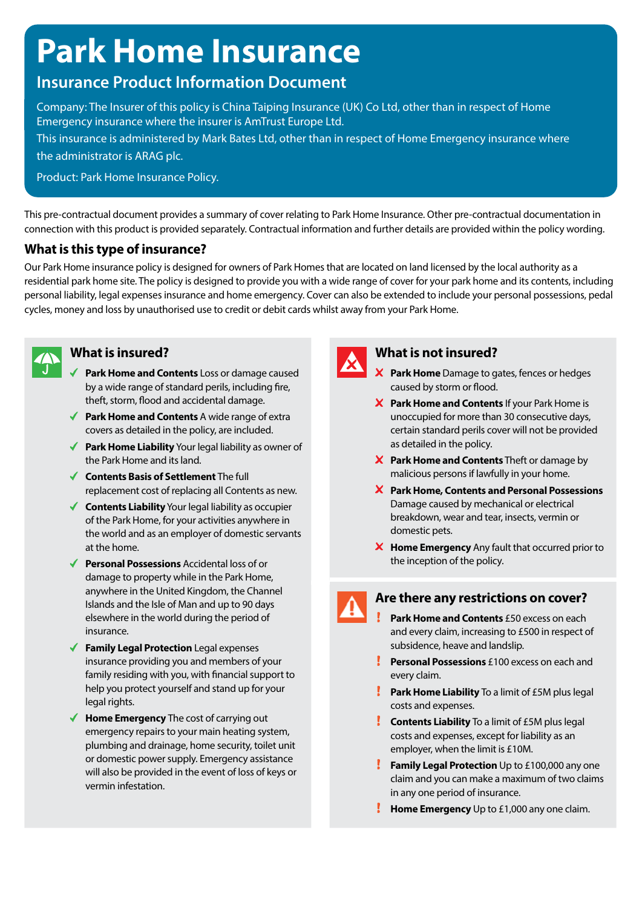# **Park Home Insurance**

# **Insurance Product Information Document**

Company: The Insurer of this policy is China Taiping Insurance (UK) Co Ltd, other than in respect of Home Emergency insurance where the insurer is AmTrust Europe Ltd.

This insurance is administered by Mark Bates Ltd, other than in respect of Home Emergency insurance where the administrator is ARAG plc.

Product: Park Home Insurance Policy.

This pre-contractual document provides a summary of cover relating to Park Home Insurance. Other pre-contractual documentation in connection with this product is provided separately. Contractual information and further details are provided within the policy wording.

# **What is this type of insurance?**

Our Park Home insurance policy is designed for owners of Park Homes that are located on land licensed by the local authority as a residential park home site. The policy is designed to provide you with a wide range of cover for your park home and its contents, including personal liability, legal expenses insurance and home emergency. Cover can also be extended to include your personal possessions, pedal cycles, money and loss by unauthorised use to credit or debit cards whilst away from your Park Home.



# **What is insured?**

- **Park Home and Contents** Loss or damage caused by a wide range of standard perils, including fire, theft, storm, flood and accidental damage.
- ◆ **Park Home and Contents** A wide range of extra covers as detailed in the policy, are included.
- ◆ **Park Home Liability** Your legal liability as owner of the Park Home and its land.
- **Contents Basis of Settlement** The full replacement cost of replacing all Contents as new.
- **Contents Liability** Your legal liability as occupier of the Park Home, for your activities anywhere in the world and as an employer of domestic servants at the home.
- ◆ **Personal Possessions** Accidental loss of or damage to property while in the Park Home, anywhere in the United Kingdom, the Channel Islands and the Isle of Man and up to 90 days elsewhere in the world during the period of insurance.
- **Family Legal Protection** Legal expenses insurance providing you and members of your family residing with you, with financial support to help you protect yourself and stand up for your legal rights.
- ◆ **Home Emergency** The cost of carrying out emergency repairs to your main heating system, plumbing and drainage, home security, toilet unit or domestic power supply. Emergency assistance will also be provided in the event of loss of keys or vermin infestation.



# **What is not insured?**

- **Park Home** Damage to gates, fences or hedges caused by storm or flood.
- **Park Home and Contents** If your Park Home is unoccupied for more than 30 consecutive days, certain standard perils cover will not be provided as detailed in the policy.
- **X** Park Home and Contents Theft or damage by malicious persons if lawfully in your home.
- **Park Home, Contents and Personal Possessions**  Damage caused by mechanical or electrical breakdown, wear and tear, insects, vermin or domestic pets.
- **Home Emergency** Any fault that occurred prior to the inception of the policy.

# **Are there any restrictions on cover?**

- **Park Home and Contents** £50 excess on each and every claim, increasing to £500 in respect of subsidence, heave and landslip.
- **Personal Possessions** £100 excess on each and every claim.
- **Park Home Liability** To a limit of £5M plus legal costs and expenses.
- **Contents Liability** To a limit of £5M plus legal costs and expenses, except for liability as an employer, when the limit is £10M.
- **Family Legal Protection** Up to £100,000 any one claim and you can make a maximum of two claims in any one period of insurance.
- **Home Emergency** Up to £1,000 any one claim.